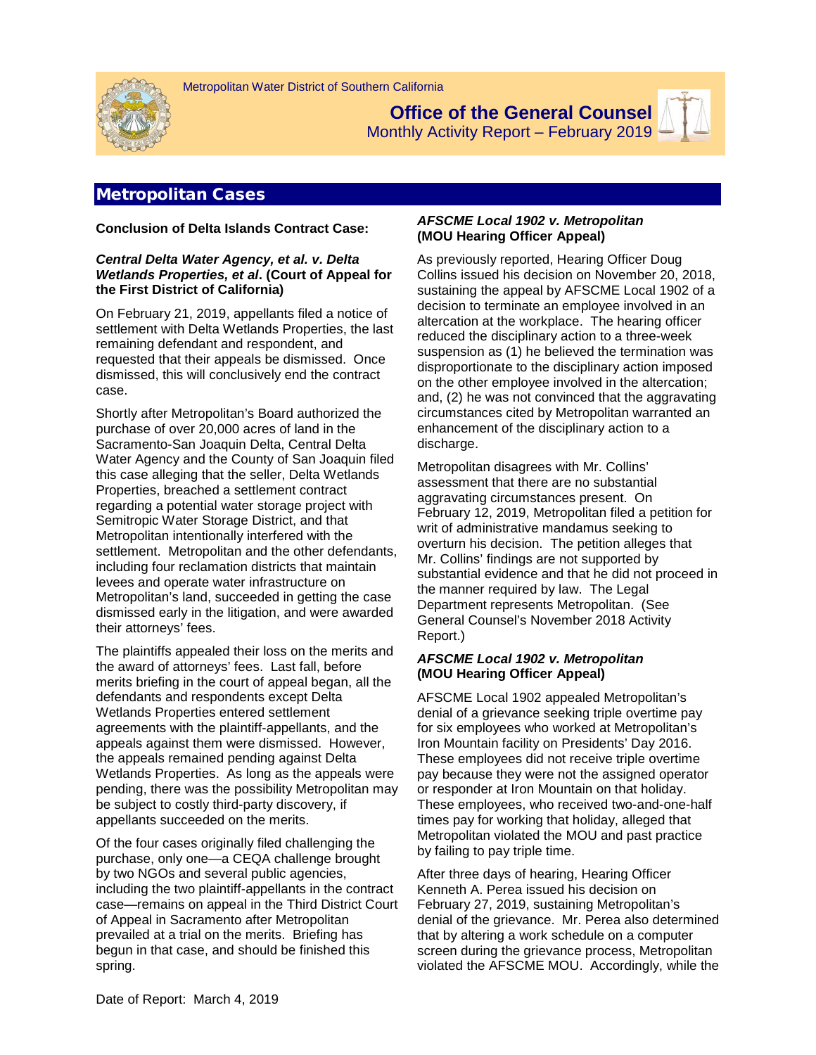

**Office of the General Counsel** Monthly Activity Report – February 2019



# Metropolitan Cases

**Conclusion of Delta Islands Contract Case:**

#### *Central Delta Water Agency, et al. v. Delta Wetlands Properties, et al***. (Court of Appeal for the First District of California)**

On February 21, 2019, appellants filed a notice of settlement with Delta Wetlands Properties, the last remaining defendant and respondent, and requested that their appeals be dismissed. Once dismissed, this will conclusively end the contract case.

Shortly after Metropolitan's Board authorized the purchase of over 20,000 acres of land in the Sacramento-San Joaquin Delta, Central Delta Water Agency and the County of San Joaquin filed this case alleging that the seller, Delta Wetlands Properties, breached a settlement contract regarding a potential water storage project with Semitropic Water Storage District, and that Metropolitan intentionally interfered with the settlement. Metropolitan and the other defendants, including four reclamation districts that maintain levees and operate water infrastructure on Metropolitan's land, succeeded in getting the case dismissed early in the litigation, and were awarded their attorneys' fees.

The plaintiffs appealed their loss on the merits and the award of attorneys' fees. Last fall, before merits briefing in the court of appeal began, all the defendants and respondents except Delta Wetlands Properties entered settlement agreements with the plaintiff-appellants, and the appeals against them were dismissed. However, the appeals remained pending against Delta Wetlands Properties. As long as the appeals were pending, there was the possibility Metropolitan may be subject to costly third-party discovery, if appellants succeeded on the merits.

Of the four cases originally filed challenging the purchase, only one—a CEQA challenge brought by two NGOs and several public agencies, including the two plaintiff-appellants in the contract case—remains on appeal in the Third District Court of Appeal in Sacramento after Metropolitan prevailed at a trial on the merits. Briefing has begun in that case, and should be finished this spring.

#### *AFSCME Local 1902 v. Metropolitan* **(MOU Hearing Officer Appeal)**

As previously reported, Hearing Officer Doug Collins issued his decision on November 20, 2018, sustaining the appeal by AFSCME Local 1902 of a decision to terminate an employee involved in an altercation at the workplace. The hearing officer reduced the disciplinary action to a three-week suspension as (1) he believed the termination was disproportionate to the disciplinary action imposed on the other employee involved in the altercation; and, (2) he was not convinced that the aggravating circumstances cited by Metropolitan warranted an enhancement of the disciplinary action to a discharge.

Metropolitan disagrees with Mr. Collins' assessment that there are no substantial aggravating circumstances present. On February 12, 2019, Metropolitan filed a petition for writ of administrative mandamus seeking to overturn his decision. The petition alleges that Mr. Collins' findings are not supported by substantial evidence and that he did not proceed in the manner required by law. The Legal Department represents Metropolitan. (See General Counsel's November 2018 Activity Report.)

#### *AFSCME Local 1902 v. Metropolitan* **(MOU Hearing Officer Appeal)**

AFSCME Local 1902 appealed Metropolitan's denial of a grievance seeking triple overtime pay for six employees who worked at Metropolitan's Iron Mountain facility on Presidents' Day 2016. These employees did not receive triple overtime pay because they were not the assigned operator or responder at Iron Mountain on that holiday. These employees, who received two-and-one-half times pay for working that holiday, alleged that Metropolitan violated the MOU and past practice by failing to pay triple time.

After three days of hearing, Hearing Officer Kenneth A. Perea issued his decision on February 27, 2019, sustaining Metropolitan's denial of the grievance. Mr. Perea also determined that by altering a work schedule on a computer screen during the grievance process, Metropolitan violated the AFSCME MOU. Accordingly, while the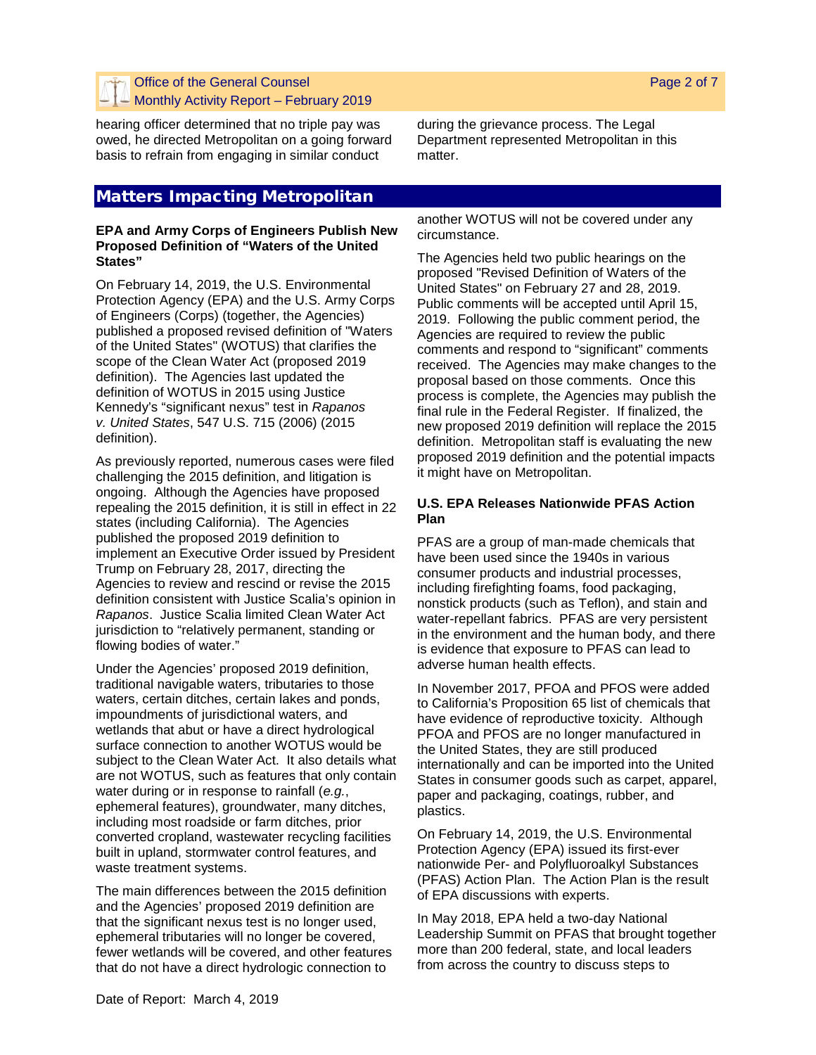## Office of the General Counsel Monthly Activity Report – February 2019

hearing officer determined that no triple pay was owed, he directed Metropolitan on a going forward basis to refrain from engaging in similar conduct

# Matters Impacting Metropolitan

#### **EPA and Army Corps of Engineers Publish New Proposed Definition of "Waters of the United States"**

On February 14, 2019, the U.S. Environmental Protection Agency (EPA) and the U.S. Army Corps of Engineers (Corps) (together, the Agencies) published a proposed revised definition of "Waters of the United States" (WOTUS) that clarifies the scope of the Clean Water Act (proposed 2019 definition). The Agencies last updated the definition of WOTUS in 2015 using Justice Kennedy's "significant nexus" test in *Rapanos v. United States*, 547 U.S. 715 (2006) (2015 definition).

As previously reported, numerous cases were filed challenging the 2015 definition, and litigation is ongoing. Although the Agencies have proposed repealing the 2015 definition, it is still in effect in 22 states (including California). The Agencies published the proposed 2019 definition to implement an Executive Order issued by President Trump on February 28, 2017, directing the Agencies to review and rescind or revise the 2015 definition consistent with Justice Scalia's opinion in *Rapanos*. Justice Scalia limited Clean Water Act jurisdiction to "relatively permanent, standing or flowing bodies of water."

Under the Agencies' proposed 2019 definition, traditional navigable waters, tributaries to those waters, certain ditches, certain lakes and ponds, impoundments of jurisdictional waters, and wetlands that abut or have a direct hydrological surface connection to another WOTUS would be subject to the Clean Water Act. It also details what are not WOTUS, such as features that only contain water during or in response to rainfall (*e.g.*, ephemeral features), groundwater, many ditches, including most roadside or farm ditches, prior converted cropland, wastewater recycling facilities built in upland, stormwater control features, and waste treatment systems.

The main differences between the 2015 definition and the Agencies' proposed 2019 definition are that the significant nexus test is no longer used, ephemeral tributaries will no longer be covered, fewer wetlands will be covered, and other features that do not have a direct hydrologic connection to

during the grievance process. The Legal Department represented Metropolitan in this matter.

another WOTUS will not be covered under any circumstance.

The Agencies held two public hearings on the proposed "Revised Definition of Waters of the United States" on February 27 and 28, 2019. Public comments will be accepted until April 15, 2019. Following the public comment period, the Agencies are required to review the public comments and respond to "significant" comments received. The Agencies may make changes to the proposal based on those comments. Once this process is complete, the Agencies may publish the final rule in the Federal Register. If finalized, the new proposed 2019 definition will replace the 2015 definition. Metropolitan staff is evaluating the new proposed 2019 definition and the potential impacts it might have on Metropolitan.

## **U.S. EPA Releases Nationwide PFAS Action Plan**

PFAS are a group of man-made chemicals that have been used since the 1940s in various consumer products and industrial processes, including firefighting foams, food packaging, nonstick products (such as Teflon), and stain and water-repellant fabrics. PFAS are very persistent in the environment and the human body, and there is evidence that exposure to PFAS can lead to adverse human health effects.

In November 2017, PFOA and PFOS were added to California's Proposition 65 list of chemicals that have evidence of reproductive toxicity. Although PFOA and PFOS are no longer manufactured in the United States, they are still produced internationally and can be imported into the United States in consumer goods such as carpet, apparel, paper and packaging, coatings, rubber, and plastics.

On February 14, 2019, the U.S. Environmental Protection Agency (EPA) issued its first-ever nationwide Per- and Polyfluoroalkyl Substances (PFAS) Action Plan. The Action Plan is the result of EPA discussions with experts.

In May 2018, EPA held a two-day National Leadership Summit on PFAS that brought together more than 200 federal, state, and local leaders from across the country to discuss steps to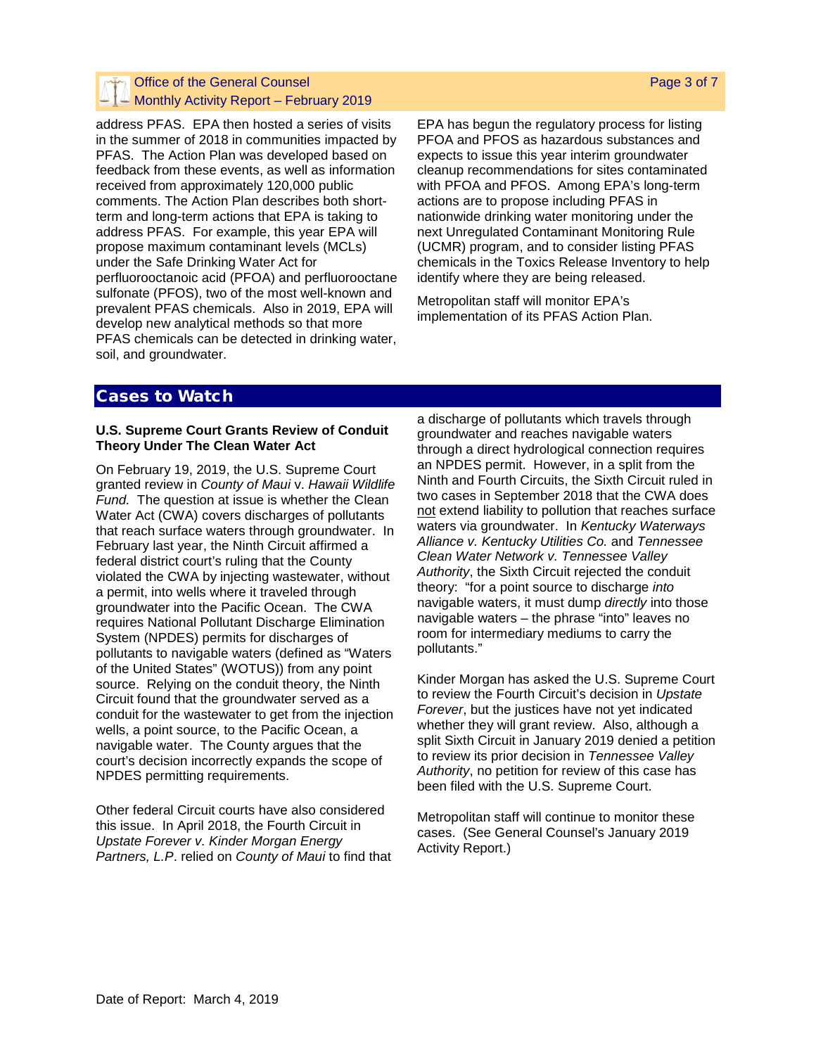## Office of the General Counsel  $\triangle$  Monthly Activity Report – February 2019

address PFAS. EPA then hosted a series of visits in the summer of 2018 in communities impacted by PFAS. The Action Plan was developed based on feedback from these events, as well as information received from approximately 120,000 public comments. The Action Plan describes both shortterm and long-term actions that EPA is taking to address PFAS. For example, this year EPA will propose maximum contaminant levels (MCLs) under the Safe Drinking Water Act for perfluorooctanoic acid (PFOA) and perfluorooctane sulfonate (PFOS), two of the most well-known and prevalent PFAS chemicals. Also in 2019, EPA will develop new analytical methods so that more PFAS chemicals can be detected in drinking water, soil, and groundwater.

EPA has begun the regulatory process for listing PFOA and PFOS as hazardous substances and expects to issue this year interim groundwater cleanup recommendations for sites contaminated with PFOA and PFOS. Among EPA's long-term actions are to propose including PFAS in nationwide drinking water monitoring under the next Unregulated Contaminant Monitoring Rule (UCMR) program, and to consider listing PFAS chemicals in the Toxics Release Inventory to help identify where they are being released.

Metropolitan staff will monitor EPA's implementation of its PFAS Action Plan.

## Cases to Watch

#### **U.S. Supreme Court Grants Review of Conduit Theory Under The Clean Water Act**

On February 19, 2019, the U.S. Supreme Court granted review in *County of Maui* v. *Hawaii Wildlife Fund.* The question at issue is whether the Clean Water Act (CWA) covers discharges of pollutants that reach surface waters through groundwater. In February last year, the Ninth Circuit affirmed a federal district court's ruling that the County violated the CWA by injecting wastewater, without a permit, into wells where it traveled through groundwater into the Pacific Ocean. The CWA requires National Pollutant Discharge Elimination System (NPDES) permits for discharges of pollutants to navigable waters (defined as "Waters of the United States" (WOTUS)) from any point source. Relying on the conduit theory, the Ninth Circuit found that the groundwater served as a conduit for the wastewater to get from the injection wells, a point source, to the Pacific Ocean, a navigable water. The County argues that the court's decision incorrectly expands the scope of NPDES permitting requirements.

Other federal Circuit courts have also considered this issue. In April 2018, the Fourth Circuit in *Upstate Forever v. Kinder Morgan Energy Partners, L.P*. relied on *County of Maui* to find that a discharge of pollutants which travels through groundwater and reaches navigable waters through a direct hydrological connection requires an NPDES permit. However, in a split from the Ninth and Fourth Circuits, the Sixth Circuit ruled in two cases in September 2018 that the CWA does not extend liability to pollution that reaches surface waters via groundwater. In *Kentucky Waterways Alliance v. Kentucky Utilities Co.* and *Tennessee Clean Water Network v. Tennessee Valley Authority*, the Sixth Circuit rejected the conduit theory: "for a point source to discharge *into* navigable waters, it must dump *directly* into those navigable waters – the phrase "into" leaves no room for intermediary mediums to carry the pollutants."

Kinder Morgan has asked the U.S. Supreme Court to review the Fourth Circuit's decision in *Upstate Forever*, but the justices have not yet indicated whether they will grant review. Also, although a split Sixth Circuit in January 2019 denied a petition to review its prior decision in *Tennessee Valley Authority*, no petition for review of this case has been filed with the U.S. Supreme Court.

Metropolitan staff will continue to monitor these cases. (See General Counsel's January 2019 Activity Report.)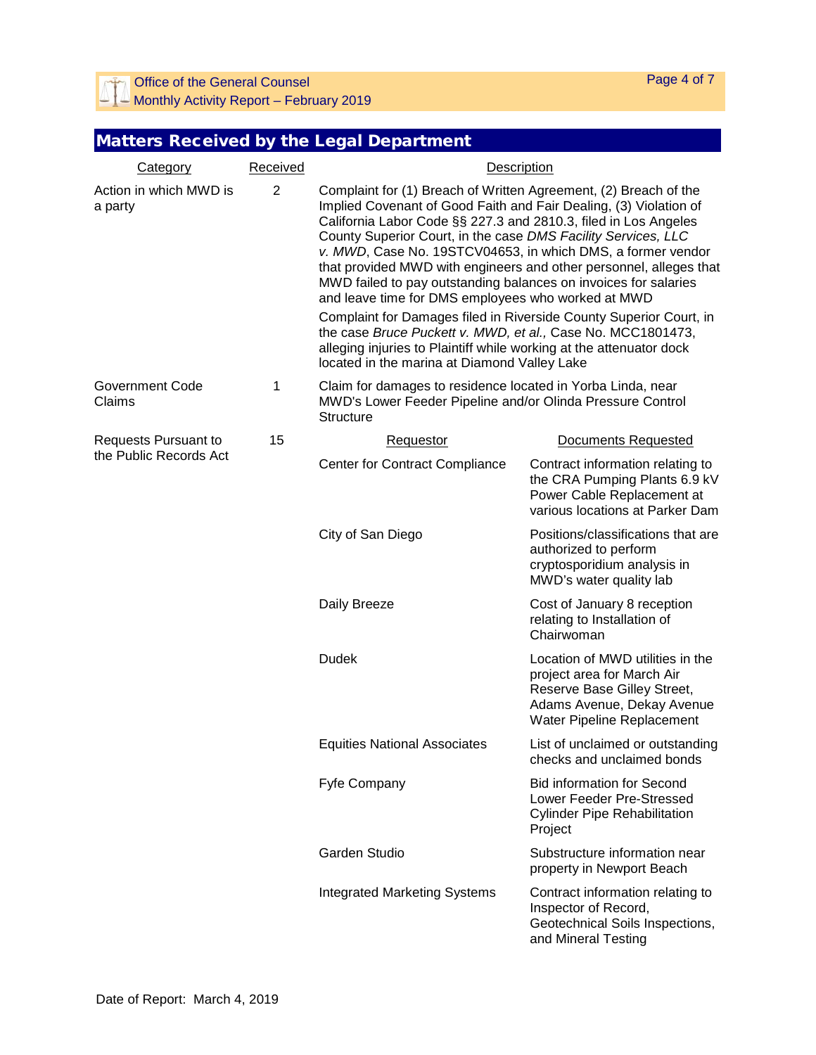**Office of the General Counsel**  $\Box$  Monthly Activity Report – February 2019

# Matters Received by the Legal Department

| Category                                       | Received       | Description                                                                                                                                                                                                                                                                                                                                                                                                                                                                                                                                                                                                                                                                                                                                                                                         |                                                                                                                                                           |
|------------------------------------------------|----------------|-----------------------------------------------------------------------------------------------------------------------------------------------------------------------------------------------------------------------------------------------------------------------------------------------------------------------------------------------------------------------------------------------------------------------------------------------------------------------------------------------------------------------------------------------------------------------------------------------------------------------------------------------------------------------------------------------------------------------------------------------------------------------------------------------------|-----------------------------------------------------------------------------------------------------------------------------------------------------------|
| Action in which MWD is<br>a party              | $\overline{2}$ | Complaint for (1) Breach of Written Agreement, (2) Breach of the<br>Implied Covenant of Good Faith and Fair Dealing, (3) Violation of<br>California Labor Code §§ 227.3 and 2810.3, filed in Los Angeles<br>County Superior Court, in the case DMS Facility Services, LLC<br>v. MWD, Case No. 19STCV04653, in which DMS, a former vendor<br>that provided MWD with engineers and other personnel, alleges that<br>MWD failed to pay outstanding balances on invoices for salaries<br>and leave time for DMS employees who worked at MWD<br>Complaint for Damages filed in Riverside County Superior Court, in<br>the case Bruce Puckett v. MWD, et al., Case No. MCC1801473,<br>alleging injuries to Plaintiff while working at the attenuator dock<br>located in the marina at Diamond Valley Lake |                                                                                                                                                           |
| Government Code<br>Claims                      | $\mathbf{1}$   | Claim for damages to residence located in Yorba Linda, near<br>MWD's Lower Feeder Pipeline and/or Olinda Pressure Control<br><b>Structure</b>                                                                                                                                                                                                                                                                                                                                                                                                                                                                                                                                                                                                                                                       |                                                                                                                                                           |
| Requests Pursuant to<br>the Public Records Act | 15             | Requestor                                                                                                                                                                                                                                                                                                                                                                                                                                                                                                                                                                                                                                                                                                                                                                                           | Documents Requested                                                                                                                                       |
|                                                |                | <b>Center for Contract Compliance</b>                                                                                                                                                                                                                                                                                                                                                                                                                                                                                                                                                                                                                                                                                                                                                               | Contract information relating to<br>the CRA Pumping Plants 6.9 kV<br>Power Cable Replacement at<br>various locations at Parker Dam                        |
|                                                |                | City of San Diego                                                                                                                                                                                                                                                                                                                                                                                                                                                                                                                                                                                                                                                                                                                                                                                   | Positions/classifications that are<br>authorized to perform<br>cryptosporidium analysis in<br>MWD's water quality lab                                     |
|                                                |                | Daily Breeze                                                                                                                                                                                                                                                                                                                                                                                                                                                                                                                                                                                                                                                                                                                                                                                        | Cost of January 8 reception<br>relating to Installation of<br>Chairwoman                                                                                  |
|                                                |                | <b>Dudek</b>                                                                                                                                                                                                                                                                                                                                                                                                                                                                                                                                                                                                                                                                                                                                                                                        | Location of MWD utilities in the<br>project area for March Air<br>Reserve Base Gilley Street,<br>Adams Avenue, Dekay Avenue<br>Water Pipeline Replacement |
|                                                |                | <b>Equities National Associates</b>                                                                                                                                                                                                                                                                                                                                                                                                                                                                                                                                                                                                                                                                                                                                                                 | List of unclaimed or outstanding<br>checks and unclaimed bonds                                                                                            |
|                                                |                | Fyfe Company                                                                                                                                                                                                                                                                                                                                                                                                                                                                                                                                                                                                                                                                                                                                                                                        | <b>Bid information for Second</b><br>Lower Feeder Pre-Stressed<br><b>Cylinder Pipe Rehabilitation</b><br>Project                                          |
|                                                |                | <b>Garden Studio</b>                                                                                                                                                                                                                                                                                                                                                                                                                                                                                                                                                                                                                                                                                                                                                                                | Substructure information near<br>property in Newport Beach                                                                                                |
|                                                |                | <b>Integrated Marketing Systems</b>                                                                                                                                                                                                                                                                                                                                                                                                                                                                                                                                                                                                                                                                                                                                                                 | Contract information relating to<br>Inspector of Record,<br>Geotechnical Soils Inspections,<br>and Mineral Testing                                        |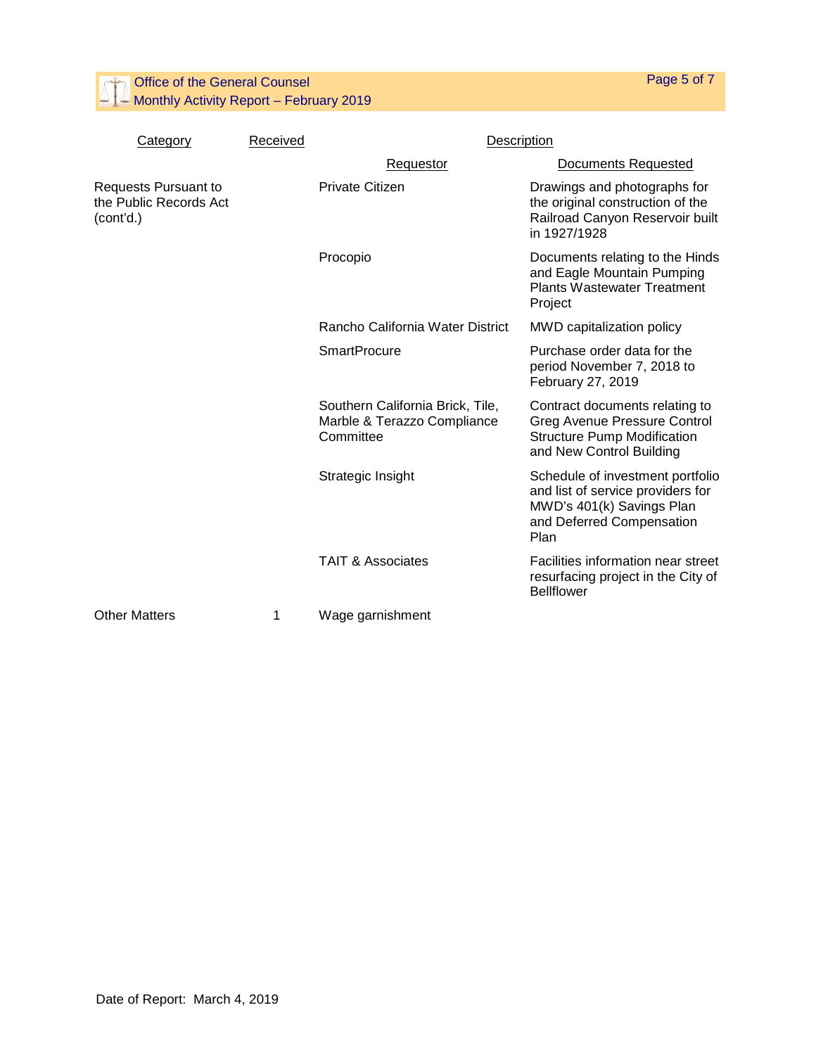Office of the General Counsel  $\Box$  Monthly Activity Report – February 2019

Category Received **Received** Description

Page 5 of 7

| oulogoi y                                                   | . | י ישיי ישטש                                                                  |                                                                                                                                         |
|-------------------------------------------------------------|---|------------------------------------------------------------------------------|-----------------------------------------------------------------------------------------------------------------------------------------|
|                                                             |   | Requestor                                                                    | <b>Documents Requested</b>                                                                                                              |
| Requests Pursuant to<br>the Public Records Act<br>(cont'd.) |   | <b>Private Citizen</b>                                                       | Drawings and photographs for<br>the original construction of the<br>Railroad Canyon Reservoir built<br>in 1927/1928                     |
|                                                             |   | Procopio                                                                     | Documents relating to the Hinds<br>and Eagle Mountain Pumping<br><b>Plants Wastewater Treatment</b><br>Project                          |
|                                                             |   | Rancho California Water District                                             | MWD capitalization policy                                                                                                               |
|                                                             |   | <b>SmartProcure</b>                                                          | Purchase order data for the<br>period November 7, 2018 to<br>February 27, 2019                                                          |
|                                                             |   | Southern California Brick, Tile,<br>Marble & Terazzo Compliance<br>Committee | Contract documents relating to<br><b>Greg Avenue Pressure Control</b><br><b>Structure Pump Modification</b><br>and New Control Building |
|                                                             |   | Strategic Insight                                                            | Schedule of investment portfolio<br>and list of service providers for<br>MWD's 401(k) Savings Plan<br>and Deferred Compensation<br>Plan |
|                                                             |   | <b>TAIT &amp; Associates</b>                                                 | Facilities information near street<br>resurfacing project in the City of<br><b>Bellflower</b>                                           |
| <b>Other Matters</b>                                        | 1 | Wage garnishment                                                             |                                                                                                                                         |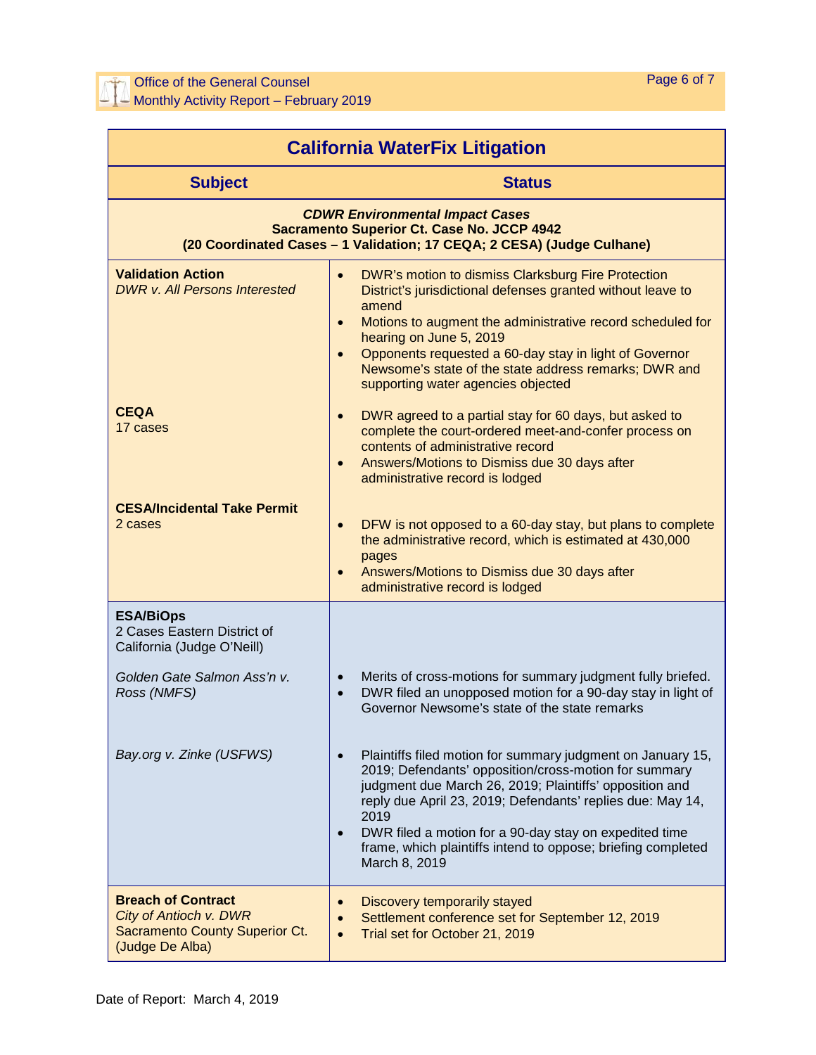| <b>California WaterFix Litigation</b>                                                                                                                                 |                                                                                                                                                                                                                                                                                                                                                                                                                     |  |  |  |
|-----------------------------------------------------------------------------------------------------------------------------------------------------------------------|---------------------------------------------------------------------------------------------------------------------------------------------------------------------------------------------------------------------------------------------------------------------------------------------------------------------------------------------------------------------------------------------------------------------|--|--|--|
| <b>Subject</b>                                                                                                                                                        | <b>Status</b>                                                                                                                                                                                                                                                                                                                                                                                                       |  |  |  |
| <b>CDWR Environmental Impact Cases</b><br><b>Sacramento Superior Ct. Case No. JCCP 4942</b><br>(20 Coordinated Cases - 1 Validation; 17 CEQA; 2 CESA) (Judge Culhane) |                                                                                                                                                                                                                                                                                                                                                                                                                     |  |  |  |
| <b>Validation Action</b><br><b>DWR v. All Persons Interested</b>                                                                                                      | DWR's motion to dismiss Clarksburg Fire Protection<br>$\bullet$<br>District's jurisdictional defenses granted without leave to<br>amend<br>Motions to augment the administrative record scheduled for<br>$\bullet$<br>hearing on June 5, 2019<br>Opponents requested a 60-day stay in light of Governor<br>$\bullet$<br>Newsome's state of the state address remarks; DWR and<br>supporting water agencies objected |  |  |  |
| <b>CEQA</b><br>17 cases                                                                                                                                               | DWR agreed to a partial stay for 60 days, but asked to<br>$\bullet$<br>complete the court-ordered meet-and-confer process on<br>contents of administrative record<br>Answers/Motions to Dismiss due 30 days after<br>$\bullet$<br>administrative record is lodged                                                                                                                                                   |  |  |  |
| <b>CESA/Incidental Take Permit</b><br>2 cases                                                                                                                         | DFW is not opposed to a 60-day stay, but plans to complete<br>$\bullet$<br>the administrative record, which is estimated at 430,000<br>pages<br>Answers/Motions to Dismiss due 30 days after<br>$\bullet$<br>administrative record is lodged                                                                                                                                                                        |  |  |  |
| <b>ESA/BiOps</b><br>2 Cases Eastern District of<br>California (Judge O'Neill)                                                                                         |                                                                                                                                                                                                                                                                                                                                                                                                                     |  |  |  |
| Golden Gate Salmon Ass'n v.<br>Ross (NMFS)                                                                                                                            | Merits of cross-motions for summary judgment fully briefed.<br>$\bullet$<br>DWR filed an unopposed motion for a 90-day stay in light of<br>$\bullet$<br>Governor Newsome's state of the state remarks                                                                                                                                                                                                               |  |  |  |
| Bay.org v. Zinke (USFWS)                                                                                                                                              | Plaintiffs filed motion for summary judgment on January 15,<br>2019; Defendants' opposition/cross-motion for summary<br>judgment due March 26, 2019; Plaintiffs' opposition and<br>reply due April 23, 2019; Defendants' replies due: May 14,<br>2019<br>DWR filed a motion for a 90-day stay on expedited time<br>frame, which plaintiffs intend to oppose; briefing completed<br>March 8, 2019                    |  |  |  |
| <b>Breach of Contract</b><br>City of Antioch v. DWR<br><b>Sacramento County Superior Ct.</b><br>(Judge De Alba)                                                       | Discovery temporarily stayed<br>Settlement conference set for September 12, 2019<br>$\bullet$<br>Trial set for October 21, 2019                                                                                                                                                                                                                                                                                     |  |  |  |